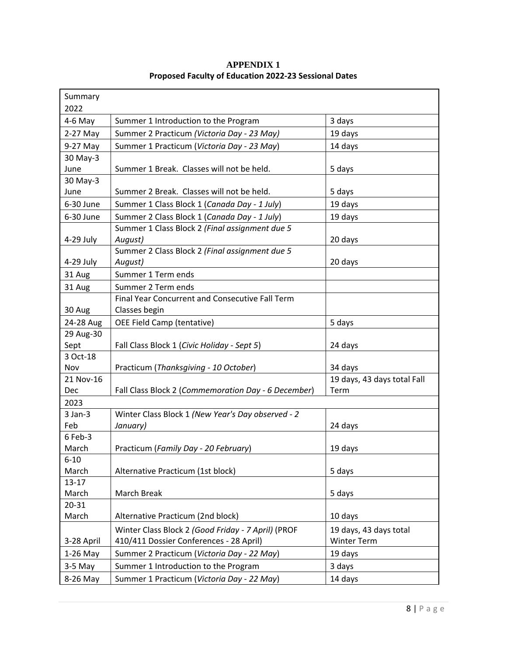| Summary<br>2022     |                                                     |                                     |
|---------------------|-----------------------------------------------------|-------------------------------------|
|                     |                                                     |                                     |
| 4-6 May             | Summer 1 Introduction to the Program                | 3 days                              |
| 2-27 May            | Summer 2 Practicum (Victoria Day - 23 May)          | 19 days                             |
| 9-27 May            | Summer 1 Practicum (Victoria Day - 23 May)          | 14 days                             |
| 30 May-3            |                                                     |                                     |
| June                | Summer 1 Break. Classes will not be held.           | 5 days                              |
| 30 May-3            | Summer 2 Break. Classes will not be held.           |                                     |
| June                |                                                     | 5 days                              |
| 6-30 June           | Summer 1 Class Block 1 (Canada Day - 1 July)        | 19 days                             |
| 6-30 June           | Summer 2 Class Block 1 (Canada Day - 1 July)        | 19 days                             |
|                     | Summer 1 Class Block 2 (Final assignment due 5      |                                     |
| 4-29 July           | August)                                             | 20 days                             |
|                     | Summer 2 Class Block 2 (Final assignment due 5      |                                     |
| $4-29$ July         | August)                                             | 20 days                             |
| 31 Aug              | Summer 1 Term ends                                  |                                     |
| 31 Aug              | Summer 2 Term ends                                  |                                     |
|                     | Final Year Concurrent and Consecutive Fall Term     |                                     |
| 30 Aug              | Classes begin                                       |                                     |
| 24-28 Aug           | OEE Field Camp (tentative)                          | 5 days                              |
| 29 Aug-30           |                                                     |                                     |
| Sept                | Fall Class Block 1 (Civic Holiday - Sept 5)         | 24 days                             |
| 3 Oct-18            |                                                     |                                     |
| Nov                 | Practicum (Thanksgiving - 10 October)               | 34 days                             |
| 21 Nov-16           |                                                     | 19 days, 43 days total Fall<br>Term |
| <b>Dec</b>          | Fall Class Block 2 (Commemoration Day - 6 December) |                                     |
| 2023                |                                                     |                                     |
| $3$ Jan- $3$<br>Feb | Winter Class Block 1 (New Year's Day observed - 2   | 24 days                             |
| 6 Feb-3             | January)                                            |                                     |
| March               | Practicum (Family Day - 20 February)                | 19 days                             |
| $6 - 10$            |                                                     |                                     |
| March               | Alternative Practicum (1st block)                   | 5 days                              |
| $13 - 17$           |                                                     |                                     |
| March               | March Break                                         | 5 days                              |
| $20 - 31$           |                                                     |                                     |
| March               | Alternative Practicum (2nd block)                   | 10 days                             |
|                     | Winter Class Block 2 (Good Friday - 7 April) (PROF  | 19 days, 43 days total              |
| 3-28 April          | 410/411 Dossier Conferences - 28 April)             | <b>Winter Term</b>                  |
| $1-26$ May          | Summer 2 Practicum (Victoria Day - 22 May)          | 19 days                             |
| $3-5$ May           | Summer 1 Introduction to the Program                |                                     |
|                     |                                                     | 3 days                              |
| 8-26 May            | Summer 1 Practicum (Victoria Day - 22 May)          | 14 days                             |

### **APPENDIX 1 Proposed Faculty of Education 2022-23 Sessional Dates**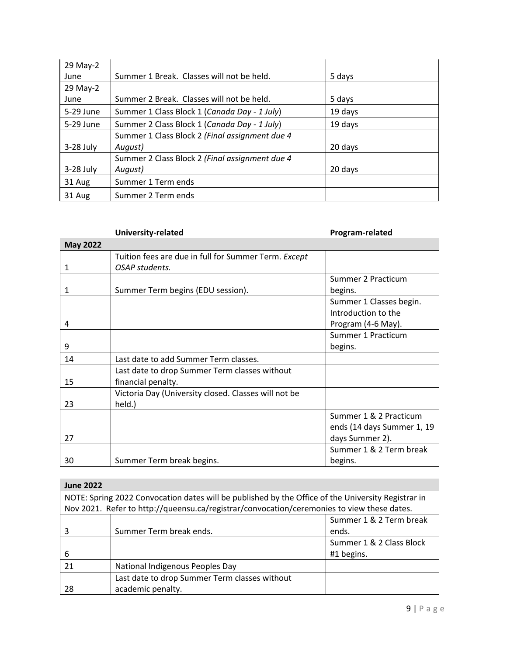| 29 May-2    |                                                |         |
|-------------|------------------------------------------------|---------|
| June        | Summer 1 Break. Classes will not be held.      | 5 days  |
| 29 May-2    |                                                |         |
| June        | Summer 2 Break. Classes will not be held.      | 5 days  |
| 5-29 June   | Summer 1 Class Block 1 (Canada Day - 1 July)   | 19 days |
| 5-29 June   | Summer 2 Class Block 1 (Canada Day - 1 July)   | 19 days |
|             | Summer 1 Class Block 2 (Final assignment due 4 |         |
| $3-28$ July | August)                                        | 20 days |
|             | Summer 2 Class Block 2 (Final assignment due 4 |         |
| $3-28$ July | August)                                        | 20 days |
| 31 Aug      | Summer 1 Term ends                             |         |
| 31 Aug      | Summer 2 Term ends                             |         |

|                 | University-related                                                     | Program-related                                                         |
|-----------------|------------------------------------------------------------------------|-------------------------------------------------------------------------|
| <b>May 2022</b> |                                                                        |                                                                         |
| 1               | Tuition fees are due in full for Summer Term. Except<br>OSAP students. |                                                                         |
|                 |                                                                        | Summer 2 Practicum                                                      |
| 1               | Summer Term begins (EDU session).                                      | begins.                                                                 |
| 4               |                                                                        | Summer 1 Classes begin.<br>Introduction to the<br>Program (4-6 May).    |
| 9               |                                                                        | Summer 1 Practicum<br>begins.                                           |
| 14              | Last date to add Summer Term classes.                                  |                                                                         |
| 15              | Last date to drop Summer Term classes without<br>financial penalty.    |                                                                         |
| 23              | Victoria Day (University closed. Classes will not be<br>held.)         |                                                                         |
| 27              |                                                                        | Summer 1 & 2 Practicum<br>ends (14 days Summer 1, 19<br>days Summer 2). |
| 30              | Summer Term break begins.                                              | Summer 1 & 2 Term break<br>begins.                                      |

# **June 2022**

| NOTE: Spring 2022 Convocation dates will be published by the Office of the University Registrar in<br>Nov 2021. Refer to http://queensu.ca/registrar/convocation/ceremonies to view these dates. |                                               |                          |
|--------------------------------------------------------------------------------------------------------------------------------------------------------------------------------------------------|-----------------------------------------------|--------------------------|
|                                                                                                                                                                                                  |                                               | Summer 1 & 2 Term break  |
|                                                                                                                                                                                                  | Summer Term break ends.                       | ends.                    |
|                                                                                                                                                                                                  |                                               | Summer 1 & 2 Class Block |
| 6                                                                                                                                                                                                |                                               | #1 begins.               |
| 21                                                                                                                                                                                               | National Indigenous Peoples Day               |                          |
|                                                                                                                                                                                                  | Last date to drop Summer Term classes without |                          |
| 28                                                                                                                                                                                               | academic penalty.                             |                          |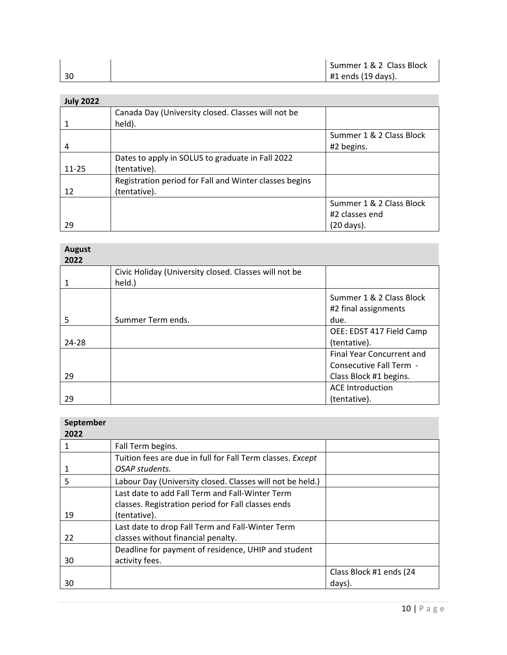|    | Summer 1 & 2 Class Block |
|----|--------------------------|
| 30 | $#1$ ends (19 days).     |

| <b>July 2022</b> |                                                        |                          |
|------------------|--------------------------------------------------------|--------------------------|
|                  | Canada Day (University closed. Classes will not be     |                          |
|                  | held).                                                 |                          |
|                  |                                                        | Summer 1 & 2 Class Block |
| 4                |                                                        | #2 begins.               |
|                  | Dates to apply in SOLUS to graduate in Fall 2022       |                          |
| $11 - 25$        | (tentative).                                           |                          |
|                  | Registration period for Fall and Winter classes begins |                          |
| 12               | (tentative).                                           |                          |
|                  |                                                        | Summer 1 & 2 Class Block |
|                  |                                                        | #2 classes end           |
| 29               |                                                        | (20 days).               |

| <b>August</b><br>2022 |                                                                 |                                                                                       |
|-----------------------|-----------------------------------------------------------------|---------------------------------------------------------------------------------------|
|                       | Civic Holiday (University closed. Classes will not be<br>held.) |                                                                                       |
| 5                     | Summer Term ends.                                               | Summer 1 & 2 Class Block<br>#2 final assignments<br>due.                              |
| 24-28                 |                                                                 | OEE: EDST 417 Field Camp<br>(tentative).                                              |
| 29                    |                                                                 | <b>Final Year Concurrent and</b><br>Consecutive Fall Term -<br>Class Block #1 begins. |
| 29                    |                                                                 | <b>ACE Introduction</b><br>(tentative).                                               |

| 2022 |                                                            |                         |
|------|------------------------------------------------------------|-------------------------|
| 1    | Fall Term begins.                                          |                         |
|      | Tuition fees are due in full for Fall Term classes. Except |                         |
|      | OSAP students.                                             |                         |
| 5    | Labour Day (University closed. Classes will not be held.)  |                         |
|      | Last date to add Fall Term and Fall-Winter Term            |                         |
|      | classes. Registration period for Fall classes ends         |                         |
| 19   | (tentative).                                               |                         |
|      | Last date to drop Fall Term and Fall-Winter Term           |                         |
| 22   | classes without financial penalty.                         |                         |
|      | Deadline for payment of residence, UHIP and student        |                         |
| 30   | activity fees.                                             |                         |
|      |                                                            | Class Block #1 ends (24 |
| 30   |                                                            | days).                  |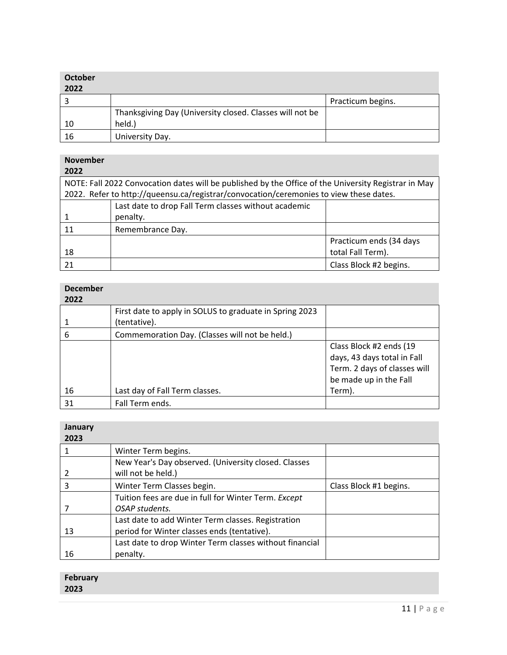| <b>October</b><br>2022 |                                                          |                   |
|------------------------|----------------------------------------------------------|-------------------|
|                        |                                                          | Practicum begins. |
|                        | Thanksgiving Day (University closed. Classes will not be |                   |
| 10                     | held.)                                                   |                   |
| 16                     | University Day.                                          |                   |

#### **November**

| 2022 |                                                                                                      |                         |
|------|------------------------------------------------------------------------------------------------------|-------------------------|
|      | NOTE: Fall 2022 Convocation dates will be published by the Office of the University Registrar in May |                         |
|      | 2022. Refer to http://queensu.ca/registrar/convocation/ceremonies to view these dates.               |                         |
|      | Last date to drop Fall Term classes without academic                                                 |                         |
|      | penalty.                                                                                             |                         |
| 11   | Remembrance Day.                                                                                     |                         |
|      |                                                                                                      | Practicum ends (34 days |
| 18   |                                                                                                      | total Fall Term).       |
| 21   |                                                                                                      | Class Block #2 begins.  |

| <b>December</b><br>2022 |                                                                         |                                                                                                                  |
|-------------------------|-------------------------------------------------------------------------|------------------------------------------------------------------------------------------------------------------|
|                         | First date to apply in SOLUS to graduate in Spring 2023<br>(tentative). |                                                                                                                  |
| 6                       | Commemoration Day. (Classes will not be held.)                          |                                                                                                                  |
|                         |                                                                         | Class Block #2 ends (19<br>days, 43 days total in Fall<br>Term. 2 days of classes will<br>be made up in the Fall |
| 16                      | Last day of Fall Term classes.                                          | Term).                                                                                                           |
| 31                      | Fall Term ends.                                                         |                                                                                                                  |

| <b>January</b><br>2023 |                                                         |                        |
|------------------------|---------------------------------------------------------|------------------------|
|                        | Winter Term begins.                                     |                        |
|                        | New Year's Day observed. (University closed. Classes    |                        |
|                        | will not be held.)                                      |                        |
| 3                      | Winter Term Classes begin.                              | Class Block #1 begins. |
|                        | Tuition fees are due in full for Winter Term. Except    |                        |
|                        | OSAP students.                                          |                        |
|                        | Last date to add Winter Term classes. Registration      |                        |
| 13                     | period for Winter classes ends (tentative).             |                        |
|                        | Last date to drop Winter Term classes without financial |                        |
| 16                     | penalty.                                                |                        |

| February |  |
|----------|--|
| 2023     |  |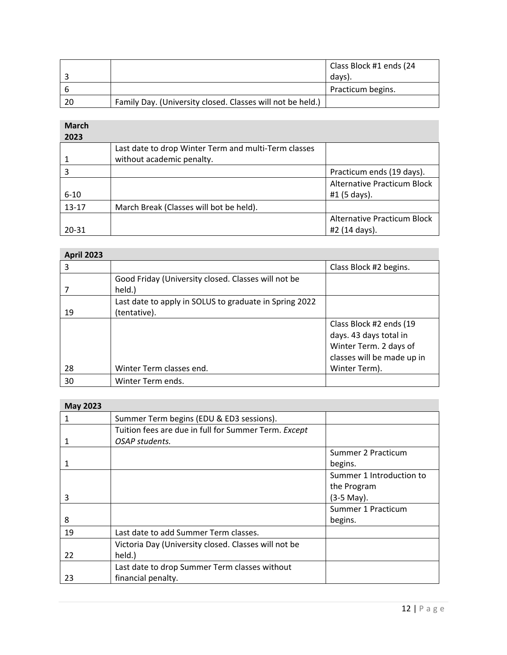|    |                                                            | Class Block #1 ends (24 |
|----|------------------------------------------------------------|-------------------------|
|    |                                                            | davs).                  |
|    |                                                            | Practicum begins.       |
| 20 | Family Day. (University closed. Classes will not be held.) |                         |

**March** 

| 2023      |                                                      |                                    |
|-----------|------------------------------------------------------|------------------------------------|
|           | Last date to drop Winter Term and multi-Term classes |                                    |
|           | without academic penalty.                            |                                    |
|           |                                                      | Practicum ends (19 days).          |
|           |                                                      | <b>Alternative Practicum Block</b> |
| $6 - 10$  |                                                      | #1 (5 days).                       |
| $13 - 17$ | March Break (Classes will bot be held).              |                                    |
|           |                                                      | <b>Alternative Practicum Block</b> |
| 20-31     |                                                      | #2 (14 days).                      |

| <b>April 2023</b> |                                                                        |                                                                                                           |  |
|-------------------|------------------------------------------------------------------------|-----------------------------------------------------------------------------------------------------------|--|
| 3                 |                                                                        | Class Block #2 begins.                                                                                    |  |
|                   | Good Friday (University closed. Classes will not be<br>held.)          |                                                                                                           |  |
| 19                | Last date to apply in SOLUS to graduate in Spring 2022<br>(tentative). |                                                                                                           |  |
|                   |                                                                        | Class Block #2 ends (19<br>days. 43 days total in<br>Winter Term. 2 days of<br>classes will be made up in |  |
| 28                | Winter Term classes end.                                               | Winter Term).                                                                                             |  |
| 30                | Winter Term ends.                                                      |                                                                                                           |  |

## **May 2023**

| IVIU Y LULU |                                                      |                          |  |
|-------------|------------------------------------------------------|--------------------------|--|
| 1           | Summer Term begins (EDU & ED3 sessions).             |                          |  |
|             | Tuition fees are due in full for Summer Term. Except |                          |  |
|             | OSAP students.                                       |                          |  |
|             |                                                      | Summer 2 Practicum       |  |
|             |                                                      | begins.                  |  |
|             |                                                      | Summer 1 Introduction to |  |
|             |                                                      | the Program              |  |
| 3           |                                                      | (3-5 May).               |  |
|             |                                                      | Summer 1 Practicum       |  |
| 8           |                                                      | begins.                  |  |
| 19          | Last date to add Summer Term classes.                |                          |  |
|             | Victoria Day (University closed. Classes will not be |                          |  |
| 22          | held.)                                               |                          |  |
|             | Last date to drop Summer Term classes without        |                          |  |
| 23          | financial penalty.                                   |                          |  |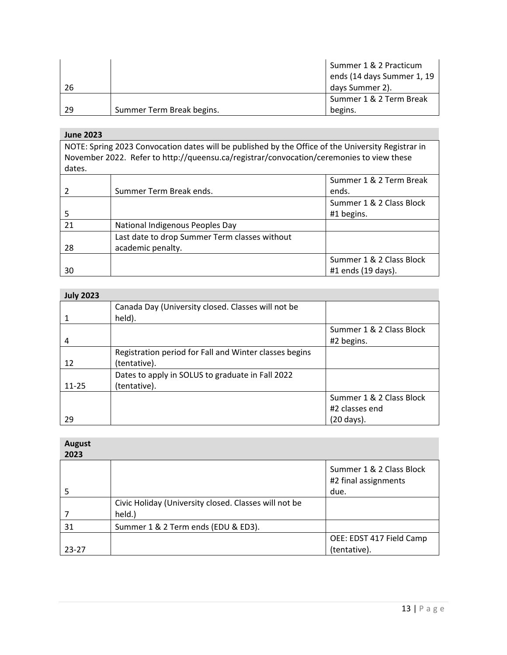|    |                           | Summer 1 & 2 Practicum     |
|----|---------------------------|----------------------------|
|    |                           | ends (14 days Summer 1, 19 |
| 26 |                           | days Summer 2).            |
|    |                           | Summer 1 & 2 Term Break    |
| 29 | Summer Term Break begins. | begins.                    |

**June 2023**

NOTE: Spring 2023 Convocation dates will be published by the Office of the University Registrar in November 2022. Refer to http://queensu.ca/registrar/convocation/ceremonies to view these dates.

|    |                                               | Summer 1 & 2 Term Break  |
|----|-----------------------------------------------|--------------------------|
|    | Summer Term Break ends.                       | ends.                    |
|    |                                               | Summer 1 & 2 Class Block |
|    |                                               | #1 begins.               |
| 21 | National Indigenous Peoples Day               |                          |
|    | Last date to drop Summer Term classes without |                          |
| 28 | academic penalty.                             |                          |
|    |                                               | Summer 1 & 2 Class Block |
| 30 |                                               | #1 ends (19 days).       |

| <b>July 2023</b> |                                                        |                          |
|------------------|--------------------------------------------------------|--------------------------|
|                  | Canada Day (University closed. Classes will not be     |                          |
|                  | held).                                                 |                          |
|                  |                                                        | Summer 1 & 2 Class Block |
| 4                |                                                        | #2 begins.               |
|                  | Registration period for Fall and Winter classes begins |                          |
| 12               | (tentative).                                           |                          |
|                  | Dates to apply in SOLUS to graduate in Fall 2022       |                          |
| $11 - 25$        | (tentative).                                           |                          |
|                  |                                                        | Summer 1 & 2 Class Block |
|                  |                                                        | #2 classes end           |
| 29               |                                                        | (20 days).               |

| <b>August</b><br>2023 |                                                       |                                                  |
|-----------------------|-------------------------------------------------------|--------------------------------------------------|
|                       |                                                       | Summer 1 & 2 Class Block<br>#2 final assignments |
| 5                     |                                                       | due.                                             |
|                       | Civic Holiday (University closed. Classes will not be |                                                  |
|                       | held.)                                                |                                                  |
| 31                    | Summer 1 & 2 Term ends (EDU & ED3).                   |                                                  |
|                       |                                                       | OEE: EDST 417 Field Camp                         |
| $23 - 27$             |                                                       | (tentative).                                     |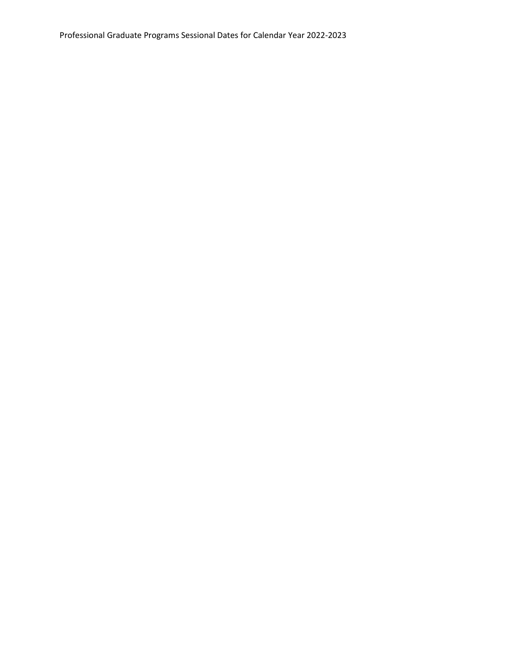Professional Graduate Programs Sessional Dates for Calendar Year 2022-2023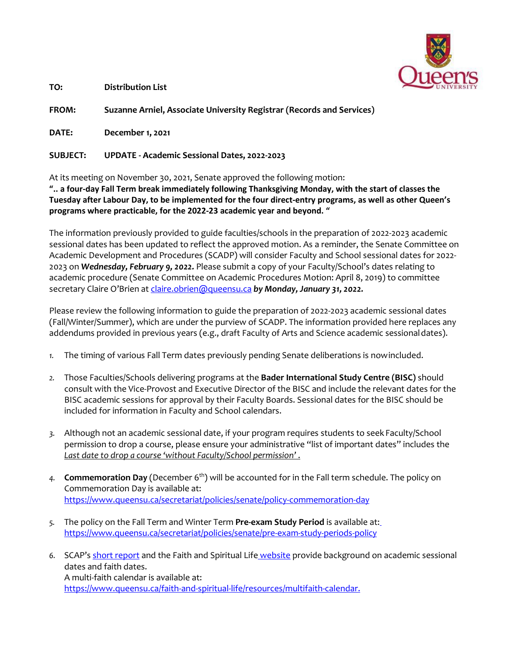

**TO: Distribution List**

**FROM: Suzanne Arniel, Associate University Registrar (Records and Services)** 

**DATE: December 1, 2021**

#### **SUBJECT: UPDATE - Academic Sessional Dates, 2022-2023**

At its meeting on November 30, 2021, Senate approved the following motion:

**".. a four-day Fall Term break immediately following Thanksgiving Monday, with the start of classes the Tuesday after Labour Day, to be implemented for the four direct-entry programs, as well as other Queen's programs where practicable, for the 2022-23 academic year and beyond. "**

The information previously provided to guide faculties/schools in the preparation of 2022-2023 academic sessional dates has been updated to reflect the approved motion. As a reminder, the Senate Committee on Academic Development and Procedures (SCADP) will consider Faculty and School sessional dates for 2022- 2023 on *Wednesday, February 9, 2022.* Please submit a copy of your Faculty/School's dates relating to academic procedure (Senate Committee on Academic Procedures Motion: April 8, 2019) to committee secretary Claire O'Brien at [claire.obrien@queensu.ca](mailto:claire.obrien@queensu.ca) by Monday, January 31, 2022.

Please review the following information to guide the preparation of 2022-2023 academic sessional dates (Fall/Winter/Summer), which are under the purview of SCADP. The information provided here replaces any addendums provided in previous years (e.g., draft Faculty of Arts and Science academic sessionaldates).

- *1.* The timing of various Fall Term dates previously pending Senate deliberations is nowincluded.
- *2.* Those Faculties/Schools delivering programs at the **Bader International Study Centre (BISC)** should consult with the Vice-Provost and Executive Director of the BISC and include the relevant dates for the BISC academic sessions for approval by their Faculty Boards. Sessional dates for the BISC should be included for information in Faculty and School calendars.
- *3.* Although not an academic sessional date, if your program requires students to seek Faculty/School permission to drop a course, please ensure your administrative "list of important dates" includes the *Last date to drop a course 'without Faculty/School permission'* .
- 4. **Commemoration Day** (December 6<sup>th</sup>) will be accounted for in the Fall term schedule. The policy on Commemoration Day is available at: <https://www.queensu.ca/secretariat/policies/senate/policy-commemoration-day>
- *5.* The policy on the Fall Term and Winter Term **Pre-exam Study Period** is available at: <https://www.queensu.ca/secretariat/policies/senate/pre-exam-study-periods-policy>
- *6.* SCAP's [short report](http://www.queensu.ca/registrar/sites/webpublish.queensu.ca.uregwww/files/files/SessFaith.pdf) and the Faith and Spiritual Life [website](https://www.queensu.ca/faith-and-spiritual-life/religious-accommodation/academics) provide background on academic sessional dates and faith dates. A multi-faith calendar is available at: [https://www.queensu.ca/faith-and-spiritual-life/resources/multifaith-calendar.](https://www.queensu.ca/faith-and-spiritual-life/resources/multifaith-calendar)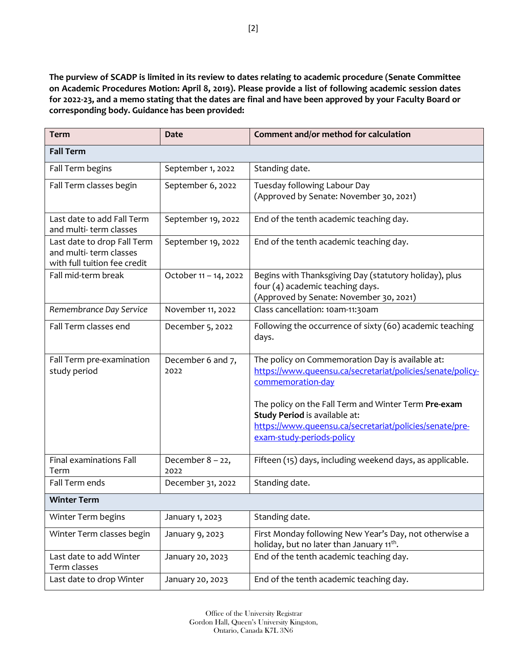**The purview of SCADP is limited in its review to dates relating to academic procedure (Senate Committee on Academic Procedures Motion: April 8, 2019). Please provide a list of following academic session dates for 2022-23, and a memo stating that the dates are final and have been approved by your Faculty Board or corresponding body. Guidance has been provided:**

| <b>Term</b>                                                                           | <b>Date</b>                 | Comment and/or method for calculation                                                                                                                                                                                                                                                                                |
|---------------------------------------------------------------------------------------|-----------------------------|----------------------------------------------------------------------------------------------------------------------------------------------------------------------------------------------------------------------------------------------------------------------------------------------------------------------|
| <b>Fall Term</b>                                                                      |                             |                                                                                                                                                                                                                                                                                                                      |
| Fall Term begins                                                                      | September 1, 2022           | Standing date.                                                                                                                                                                                                                                                                                                       |
| Fall Term classes begin                                                               | September 6, 2022           | Tuesday following Labour Day<br>(Approved by Senate: November 30, 2021)                                                                                                                                                                                                                                              |
| Last date to add Fall Term<br>and multi-term classes                                  | September 19, 2022          | End of the tenth academic teaching day.                                                                                                                                                                                                                                                                              |
| Last date to drop Fall Term<br>and multi-term classes<br>with full tuition fee credit | September 19, 2022          | End of the tenth academic teaching day.                                                                                                                                                                                                                                                                              |
| Fall mid-term break                                                                   | October 11 - 14, 2022       | Begins with Thanksgiving Day (statutory holiday), plus<br>four (4) academic teaching days.<br>(Approved by Senate: November 30, 2021)                                                                                                                                                                                |
| Remembrance Day Service                                                               | November 11, 2022           | Class cancellation: 10am-11:30am                                                                                                                                                                                                                                                                                     |
| Fall Term classes end                                                                 | December 5, 2022            | Following the occurrence of sixty (60) academic teaching<br>days.                                                                                                                                                                                                                                                    |
| Fall Term pre-examination<br>study period                                             | December 6 and 7,<br>2022   | The policy on Commemoration Day is available at:<br>https://www.queensu.ca/secretariat/policies/senate/policy-<br>commemoration-day<br>The policy on the Fall Term and Winter Term Pre-exam<br>Study Period is available at:<br>https://www.queensu.ca/secretariat/policies/senate/pre-<br>exam-study-periods-policy |
| Final examinations Fall<br>Term                                                       | December $8 - 22$ ,<br>2022 | Fifteen (15) days, including weekend days, as applicable.                                                                                                                                                                                                                                                            |
| Fall Term ends                                                                        | December 31, 2022           | Standing date.                                                                                                                                                                                                                                                                                                       |
| <b>Winter Term</b>                                                                    |                             |                                                                                                                                                                                                                                                                                                                      |
| Winter Term begins                                                                    | January 1, 2023             | Standing date.                                                                                                                                                                                                                                                                                                       |
| Winter Term classes begin                                                             | January 9, 2023             | First Monday following New Year's Day, not otherwise a<br>holiday, but no later than January 11 <sup>th</sup> .                                                                                                                                                                                                      |
| Last date to add Winter<br>Term classes                                               | January 20, 2023            | End of the tenth academic teaching day.                                                                                                                                                                                                                                                                              |
| Last date to drop Winter                                                              | January 20, 2023            | End of the tenth academic teaching day.                                                                                                                                                                                                                                                                              |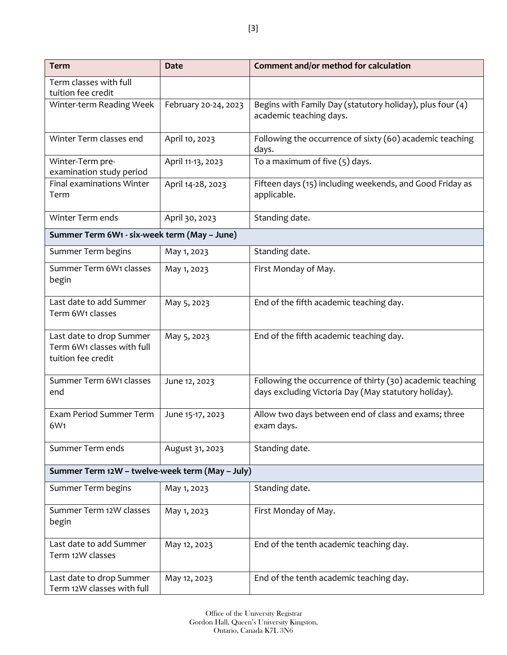| <b>Term</b>                                                                  | <b>Date</b>          | Comment and/or method for calculation                                                                             |
|------------------------------------------------------------------------------|----------------------|-------------------------------------------------------------------------------------------------------------------|
| Term classes with full<br>tuition fee credit                                 |                      |                                                                                                                   |
| Winter-term Reading Week                                                     | February 20-24, 2023 | Begins with Family Day (statutory holiday), plus four (4)<br>academic teaching days.                              |
| Winter Term classes end                                                      | April 10, 2023       | Following the occurrence of sixty (60) academic teaching<br>days.                                                 |
| Winter-Term pre-<br>examination study period                                 | April 11-13, 2023    | To a maximum of five $(5)$ days.                                                                                  |
| Final examinations Winter<br>Term                                            | April 14-28, 2023    | Fifteen days (15) including weekends, and Good Friday as<br>applicable.                                           |
| Winter Term ends                                                             | April 30, 2023       | Standing date.                                                                                                    |
| Summer Term 6W1 - six-week term (May - June)                                 |                      |                                                                                                                   |
| Summer Term begins                                                           | May 1, 2023          | Standing date.                                                                                                    |
| Summer Term 6W1 classes<br>begin                                             | May 1, 2023          | First Monday of May.                                                                                              |
| Last date to add Summer<br>Term 6W1 classes                                  | May 5, 2023          | End of the fifth academic teaching day.                                                                           |
| Last date to drop Summer<br>Term 6W1 classes with full<br>tuition fee credit | May 5, 2023          | End of the fifth academic teaching day.                                                                           |
| Summer Term 6W1 classes<br>end                                               | June 12, 2023        | Following the occurrence of thirty (30) academic teaching<br>days excluding Victoria Day (May statutory holiday). |
| Exam Period Summer Term<br>6W <sub>1</sub>                                   | June 15-17, 2023     | Allow two days between end of class and exams; three<br>exam days.                                                |
| Summer Term ends                                                             | August 31, 2023      | Standing date.                                                                                                    |
| Summer Term 12W - twelve-week term (May - July)                              |                      |                                                                                                                   |
| Summer Term begins                                                           | May 1, 2023          | Standing date.                                                                                                    |
| Summer Term 12W classes<br>begin                                             | May 1, 2023          | First Monday of May.                                                                                              |
| Last date to add Summer<br>Term 12W classes                                  | May 12, 2023         | End of the tenth academic teaching day.                                                                           |
| Last date to drop Summer<br>Term 12W classes with full                       | May 12, 2023         | End of the tenth academic teaching day.                                                                           |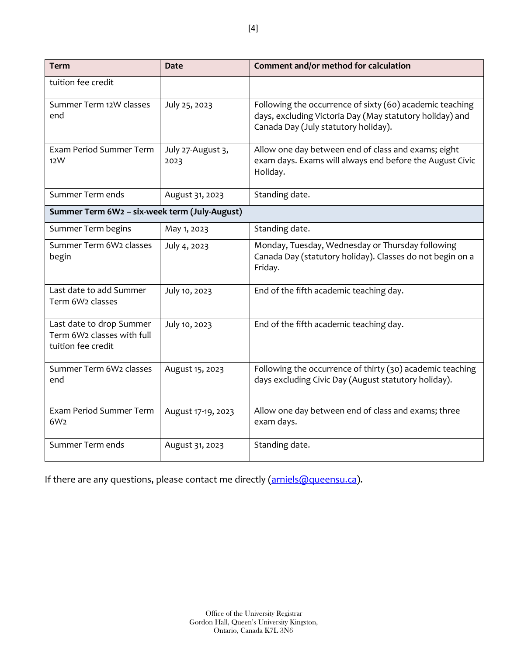| <b>Term</b>                                                                  | <b>Date</b>               | Comment and/or method for calculation                                                                                                                        |
|------------------------------------------------------------------------------|---------------------------|--------------------------------------------------------------------------------------------------------------------------------------------------------------|
| tuition fee credit                                                           |                           |                                                                                                                                                              |
| Summer Term 12W classes<br>end                                               | July 25, 2023             | Following the occurrence of sixty (60) academic teaching<br>days, excluding Victoria Day (May statutory holiday) and<br>Canada Day (July statutory holiday). |
| Exam Period Summer Term<br>12W                                               | July 27-August 3,<br>2023 | Allow one day between end of class and exams; eight<br>exam days. Exams will always end before the August Civic<br>Holiday.                                  |
| Summer Term ends                                                             | August 31, 2023           | Standing date.                                                                                                                                               |
| Summer Term 6W2 - six-week term (July-August)                                |                           |                                                                                                                                                              |
| Summer Term begins                                                           | May 1, 2023               | Standing date.                                                                                                                                               |
| Summer Term 6W2 classes<br>begin                                             | July 4, 2023              | Monday, Tuesday, Wednesday or Thursday following<br>Canada Day (statutory holiday). Classes do not begin on a<br>Friday.                                     |
| Last date to add Summer<br>Term 6W2 classes                                  | July 10, 2023             | End of the fifth academic teaching day.                                                                                                                      |
| Last date to drop Summer<br>Term 6W2 classes with full<br>tuition fee credit | July 10, 2023             | End of the fifth academic teaching day.                                                                                                                      |
| Summer Term 6W2 classes<br>end                                               | August 15, 2023           | Following the occurrence of thirty (30) academic teaching<br>days excluding Civic Day (August statutory holiday).                                            |
| Exam Period Summer Term<br>6W <sub>2</sub>                                   | August 17-19, 2023        | Allow one day between end of class and exams; three<br>exam days.                                                                                            |
| Summer Term ends                                                             | August 31, 2023           | Standing date.                                                                                                                                               |

If there are any questions, please contact me directly [\(arniels@queensu.ca\)](mailto:arniels@queensu.ca).